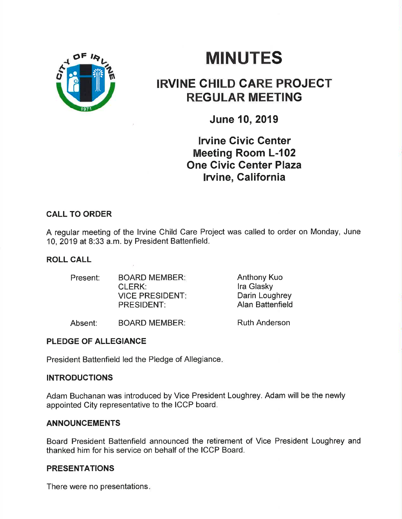

# **MINUTES**

## IRVINE CHILD GARE PROJECT REGULAR MEETING

June 10,2019

**Irvine Civic Center** Meeting Room L-102 One Civic Center Plaza Irvine, California

## CALL TO ORDER

A regular meeting of the lrvine Child Care Project was called to order on Monday, June 10,2019 at 8:33 a.m. by President Battenfield.

## ROLL CALL

| Present: | <b>BOARD MEMBER:</b>   | <b>Anthony Kuo</b>      |
|----------|------------------------|-------------------------|
|          | CLERK:                 | Ira Glasky              |
|          | <b>VICE PRESIDENT:</b> | Darin Loughrey          |
|          | <b>PRESIDENT:</b>      | <b>Alan Battenfield</b> |
|          |                        |                         |

Absent: BOARD MEMBER:

Ruth Anderson

## PLEDGE OF ALLEGIANCE

President Battenfield led the Pledge of Allegiance.

## INTRODUCTIONS

Adam Buchanan was introduced by Vice President Loughrey. Adam will be the newly appointed City representative to the ICCP board.

#### ANNOUNCEMENTS

Board President Battenfield announced the retirement of Vice President Loughrey and thanked him for his service on behalf of the ICCP Board.

## PRESENTATIONS

There were no presentations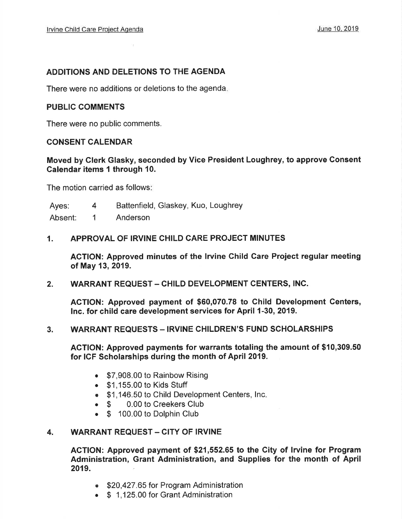#### ADDITIONS AND DELETIONS TO THE AGENDA

There were no additions or deletions to the agenda

#### PUBLIC COMMENTS

There were no public comments.

#### CONSENT CALENDAR

Moved by Clerk Glasky, seconded by Vice President Loughrey, to approve Gonsent Galendar items I through 10.

The motion carried as follows

Ayes: 4 Battenfield, Glaskey, Kuo, Loughrey

Absent: 1 Anderson

#### 1. APPROVAL OF IRVINE CHILD CARE PROJECT MINUTES

ACTION: Approved minutes of the Irvine Child Care Project regular meeting of May 13,2019.

2. WARRANT REQUEST – CHILD DEVELOPMENT CENTERS, INC.

ACTION: Approved payment of \$60,070.78 to Child Development Centers, lnc. for child care development services for April 1-30, 2019.

#### 3. WARRANT REQUESTS - IRVINE CHILDREN'S FUND SCHOLARSHIPS

AGTION: Approved payments for warrants totaling the amount of \$10,309.50 for ICF Scholarships during the month of April 2019.

- \$7,908.00 to Rainbow Rising
- . \$1 ,155.00 to Kids Stuff
- **\$1,146.50 to Child Development Centers, Inc.**
- \$ 0.00 to Creekers Club
- \$ 100.00 to Dolphin Club

## 4. WARRANT REQUEST - CITY OF IRVINE

ACTION: Approved payment of \$21,552.65 to the City of lrvine for Program Administration, Grant Administration, and Supplies for the month of April 2019.

- \$20,427.65 for Program Administration
- \$ 1,125.00 for Grant Administration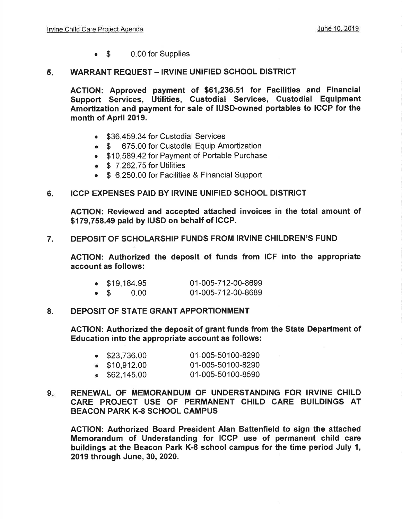o \$ 0.00 for Supplies

#### 5 WARRANT REQUEST - IRVINE UNIFIED SCHOOL DISTRICT

AGTION: Approved payment of \$61,236.51 for Facilities and Financial Support Services, Utilities, Gustodial Services, Custodial Equipment Amortization and payment for sale of IUSD-owned portables to IGCP for the month of April 2019.

- \$36,459,34 for Custodial Services
- o \$ 675.00 for Custodial Equip Amortization
- . \$10,589.42 for Payment of Portable Purchase
- $\bullet$  \$ 7,262.75 for Utilities
- \$ 6,250.00 for Facilities & Financial Support

#### 6. ICCP EXPENSES PAID BY IRVINE UNIFIED SCHOOL DISTRICT

AGTION: Reviewed and accepted attached invoices in the total amount of \$179,758.49 paid by IUSD on behalf of ICGP.

#### 7. DEPOSIT OF SCHOLARSHIP FUNDS FROM IRVINE CHILDREN'S FUND

ACTION: Authorized the deposit of funds from ICF into the appropriate account as follows:

|             | $\bullet$ \$19,184.95 | 01-005-712-00-8699 |
|-------------|-----------------------|--------------------|
| $\bullet$ S | 0.00                  | 01-005-712-00-8689 |

#### 8. DEPOSIT OF STATE GRANT APPORTIONMENT

ACTION: Authorized the deposit of grant funds from the State Department of Education into the appropriate account as follows:

| $\bullet$ \$23,736.00 | 01-005-50100-8290 |
|-----------------------|-------------------|
| \$10,912.00           | 01-005-50100-8290 |
| \$62,145.00           | 01-005-50100-8590 |

#### 9. RENEWAL OF MEMORANDUM OF UNDERSTANDING FOR IRVINE CHILD CARE PROJECT USE OF PERMANENT CHILD CARE BUILDINGS AT BEACON PARK K.8 SCHOOL CAMPUS

AGTION: Authorized Board President Alan Battenfield to sign the attached Memorandum of Understanding for ICCP use of permanent child care buildings at the Beacon Park K-8 school campus for the time period July I, 2019 through June, 30, 2020.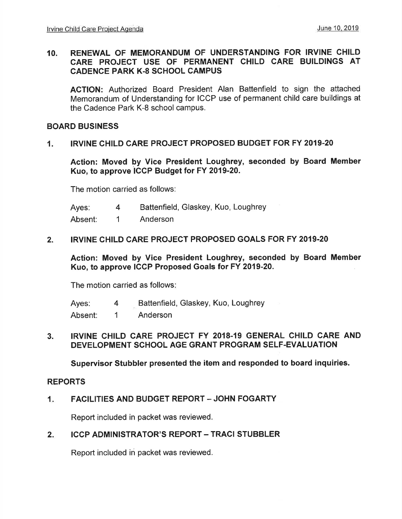#### 10. RENEWAL OF MEMORANDUM OF UNDERSTANDING FOR IRVINE CHILD CARE PROJECT USE OF PERMANENT CHILD CARE BUILDINGS AT CADENCE PARK K.8 SCHOOL CAMPUS

AGTION: Authorized Board President Alan Battenfield to sign the attached Memorandum of Understanding for ICCP use of permanent child care buildings at the Cadence Park K-8 school campus.

#### BOARD BUSINESS

#### 1. IRVINE CHILD CARE PROJECT PROPOSED BUDGET FOR FY 2019.20

Action: Moved by Vice President Loughrey, seconded by Board Member Kuo, to approve iCCp Budget for FY 2019-20.

The motion carried as follows:

Ayes: 4 Battenfield, Glaskey, Kuo, Loughrey

Absent: 1 Anderson

#### 2. IRVINE CHILD CARE PROJECT PROPOSED GOALS FOR FY 2019.20

Action: Moved by Vice President Loughrey, seconded by Board Member Kuo, to approve ICCP Proposed Goals for FY 2019-20.

The motion carried as follows

Ayes: Absent: Battenfield, Glaskey, Kuo, Loughrey Anderson 4 1

#### 3. IRVINE CHILD CARE PROJECT FY 2018-19 GENERAL CHILD CARE AND DEVELOPMENT SCHOOL AGE GRANT PROGRAM SELF.EVALUATION

Supervisor Stubbler presented the item and responded to board inquiries.

#### REPORTS

#### $1.$ FACILITIES AND BUDGET REPORT - JOHN FOGARTY

Report included in packet was reviewed.

#### $2.$ **ICCP ADMINISTRATOR'S REPORT - TRACI STUBBLER**

Report included in packet was reviewed.